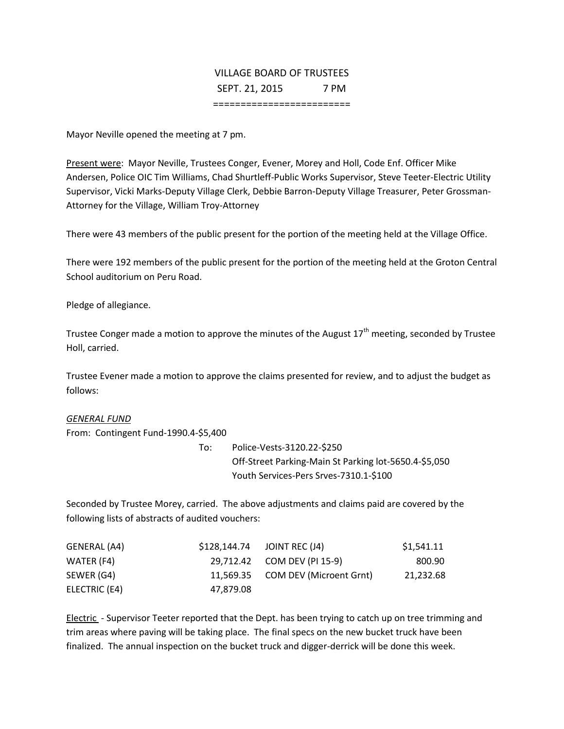## VILLAGE BOARD OF TRUSTEES SEPT. 21, 2015 7 PM

=========================

Mayor Neville opened the meeting at 7 pm.

Present were: Mayor Neville, Trustees Conger, Evener, Morey and Holl, Code Enf. Officer Mike Andersen, Police OIC Tim Williams, Chad Shurtleff-Public Works Supervisor, Steve Teeter-Electric Utility Supervisor, Vicki Marks-Deputy Village Clerk, Debbie Barron-Deputy Village Treasurer, Peter Grossman-Attorney for the Village, William Troy-Attorney

There were 43 members of the public present for the portion of the meeting held at the Village Office.

There were 192 members of the public present for the portion of the meeting held at the Groton Central School auditorium on Peru Road.

Pledge of allegiance.

Trustee Conger made a motion to approve the minutes of the August  $17<sup>th</sup>$  meeting, seconded by Trustee Holl, carried.

Trustee Evener made a motion to approve the claims presented for review, and to adjust the budget as follows:

## *GENERAL FUND*

From: Contingent Fund-1990.4-\$5,400

To: Police-Vests-3120.22-\$250 Off-Street Parking-Main St Parking lot-5650.4-\$5,050 Youth Services-Pers Srves-7310.1-\$100

Seconded by Trustee Morey, carried. The above adjustments and claims paid are covered by the following lists of abstracts of audited vouchers:

| GENERAL (A4)  |           | \$128,144.74 JOINT REC (J4)       | \$1,541.11 |
|---------------|-----------|-----------------------------------|------------|
| WATER (F4)    |           | 29,712.42 COM DEV (PI 15-9)       | 800.90     |
| SEWER (G4)    |           | 11,569.35 COM DEV (Microent Grnt) | 21,232.68  |
| ELECTRIC (E4) | 47.879.08 |                                   |            |

Electric - Supervisor Teeter reported that the Dept. has been trying to catch up on tree trimming and trim areas where paving will be taking place. The final specs on the new bucket truck have been finalized. The annual inspection on the bucket truck and digger-derrick will be done this week.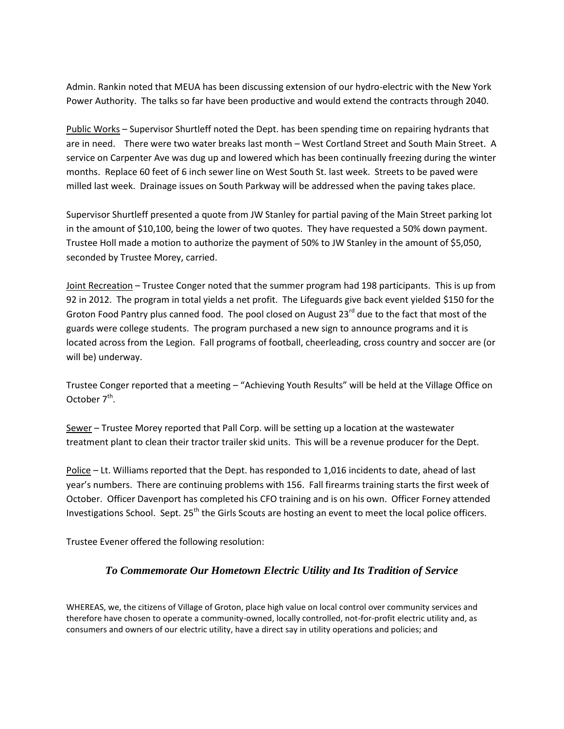Admin. Rankin noted that MEUA has been discussing extension of our hydro-electric with the New York Power Authority. The talks so far have been productive and would extend the contracts through 2040.

Public Works – Supervisor Shurtleff noted the Dept. has been spending time on repairing hydrants that are in need. There were two water breaks last month – West Cortland Street and South Main Street. A service on Carpenter Ave was dug up and lowered which has been continually freezing during the winter months. Replace 60 feet of 6 inch sewer line on West South St. last week. Streets to be paved were milled last week. Drainage issues on South Parkway will be addressed when the paving takes place.

Supervisor Shurtleff presented a quote from JW Stanley for partial paving of the Main Street parking lot in the amount of \$10,100, being the lower of two quotes. They have requested a 50% down payment. Trustee Holl made a motion to authorize the payment of 50% to JW Stanley in the amount of \$5,050, seconded by Trustee Morey, carried.

Joint Recreation – Trustee Conger noted that the summer program had 198 participants. This is up from 92 in 2012. The program in total yields a net profit. The Lifeguards give back event yielded \$150 for the Groton Food Pantry plus canned food. The pool closed on August 23<sup>rd</sup> due to the fact that most of the guards were college students. The program purchased a new sign to announce programs and it is located across from the Legion. Fall programs of football, cheerleading, cross country and soccer are (or will be) underway.

Trustee Conger reported that a meeting – "Achieving Youth Results" will be held at the Village Office on October 7<sup>th</sup>.

Sewer - Trustee Morey reported that Pall Corp. will be setting up a location at the wastewater treatment plant to clean their tractor trailer skid units. This will be a revenue producer for the Dept.

Police – Lt. Williams reported that the Dept. has responded to 1,016 incidents to date, ahead of last year's numbers. There are continuing problems with 156. Fall firearms training starts the first week of October. Officer Davenport has completed his CFO training and is on his own. Officer Forney attended Investigations School. Sept. 25<sup>th</sup> the Girls Scouts are hosting an event to meet the local police officers.

Trustee Evener offered the following resolution:

## *To Commemorate Our Hometown Electric Utility and Its Tradition of Service*

WHEREAS, we, the citizens of Village of Groton, place high value on local control over community services and therefore have chosen to operate a community-owned, locally controlled, not-for-profit electric utility and, as consumers and owners of our electric utility, have a direct say in utility operations and policies; and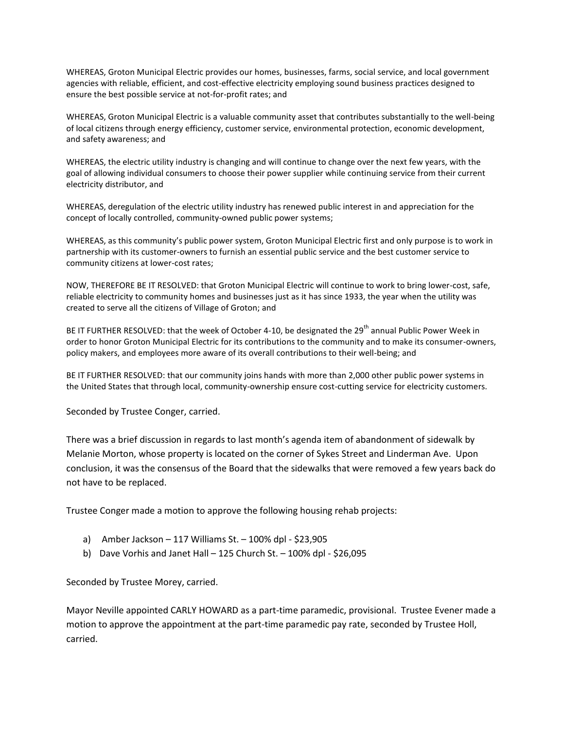WHEREAS, Groton Municipal Electric provides our homes, businesses, farms, social service, and local government agencies with reliable, efficient, and cost-effective electricity employing sound business practices designed to ensure the best possible service at not-for-profit rates; and

WHEREAS, Groton Municipal Electric is a valuable community asset that contributes substantially to the well-being of local citizens through energy efficiency, customer service, environmental protection, economic development, and safety awareness; and

WHEREAS, the electric utility industry is changing and will continue to change over the next few years, with the goal of allowing individual consumers to choose their power supplier while continuing service from their current electricity distributor, and

WHEREAS, deregulation of the electric utility industry has renewed public interest in and appreciation for the concept of locally controlled, community-owned public power systems;

WHEREAS, as this community's public power system, Groton Municipal Electric first and only purpose is to work in partnership with its customer-owners to furnish an essential public service and the best customer service to community citizens at lower-cost rates;

NOW, THEREFORE BE IT RESOLVED: that Groton Municipal Electric will continue to work to bring lower-cost, safe, reliable electricity to community homes and businesses just as it has since 1933, the year when the utility was created to serve all the citizens of Village of Groton; and

BE IT FURTHER RESOLVED: that the week of October 4-10, be designated the 29<sup>th</sup> annual Public Power Week in order to honor Groton Municipal Electric for its contributions to the community and to make its consumer-owners, policy makers, and employees more aware of its overall contributions to their well-being; and

BE IT FURTHER RESOLVED: that our community joins hands with more than 2,000 other public power systems in the United States that through local, community-ownership ensure cost-cutting service for electricity customers.

Seconded by Trustee Conger, carried.

There was a brief discussion in regards to last month's agenda item of abandonment of sidewalk by Melanie Morton, whose property is located on the corner of Sykes Street and Linderman Ave. Upon conclusion, it was the consensus of the Board that the sidewalks that were removed a few years back do not have to be replaced.

Trustee Conger made a motion to approve the following housing rehab projects:

- a) Amber Jackson 117 Williams St. 100% dpl \$23,905
- b) Dave Vorhis and Janet Hall  $-125$  Church St.  $-100\%$  dpl \$26,095

Seconded by Trustee Morey, carried.

Mayor Neville appointed CARLY HOWARD as a part-time paramedic, provisional. Trustee Evener made a motion to approve the appointment at the part-time paramedic pay rate, seconded by Trustee Holl, carried.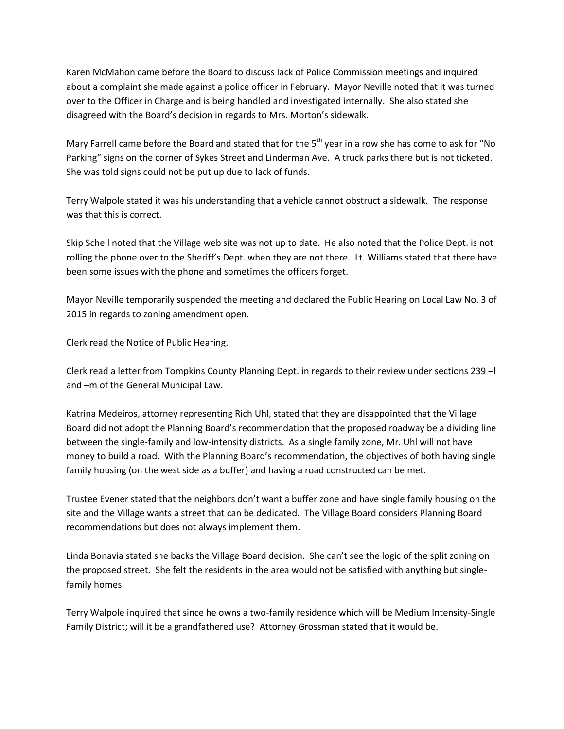Karen McMahon came before the Board to discuss lack of Police Commission meetings and inquired about a complaint she made against a police officer in February. Mayor Neville noted that it was turned over to the Officer in Charge and is being handled and investigated internally. She also stated she disagreed with the Board's decision in regards to Mrs. Morton's sidewalk.

Mary Farrell came before the Board and stated that for the  $5<sup>th</sup>$  year in a row she has come to ask for "No Parking" signs on the corner of Sykes Street and Linderman Ave. A truck parks there but is not ticketed. She was told signs could not be put up due to lack of funds.

Terry Walpole stated it was his understanding that a vehicle cannot obstruct a sidewalk. The response was that this is correct.

Skip Schell noted that the Village web site was not up to date. He also noted that the Police Dept. is not rolling the phone over to the Sheriff's Dept. when they are not there. Lt. Williams stated that there have been some issues with the phone and sometimes the officers forget.

Mayor Neville temporarily suspended the meeting and declared the Public Hearing on Local Law No. 3 of 2015 in regards to zoning amendment open.

Clerk read the Notice of Public Hearing.

Clerk read a letter from Tompkins County Planning Dept. in regards to their review under sections 239 –l and –m of the General Municipal Law.

Katrina Medeiros, attorney representing Rich Uhl, stated that they are disappointed that the Village Board did not adopt the Planning Board's recommendation that the proposed roadway be a dividing line between the single-family and low-intensity districts. As a single family zone, Mr. Uhl will not have money to build a road. With the Planning Board's recommendation, the objectives of both having single family housing (on the west side as a buffer) and having a road constructed can be met.

Trustee Evener stated that the neighbors don't want a buffer zone and have single family housing on the site and the Village wants a street that can be dedicated. The Village Board considers Planning Board recommendations but does not always implement them.

Linda Bonavia stated she backs the Village Board decision. She can't see the logic of the split zoning on the proposed street. She felt the residents in the area would not be satisfied with anything but singlefamily homes.

Terry Walpole inquired that since he owns a two-family residence which will be Medium Intensity-Single Family District; will it be a grandfathered use? Attorney Grossman stated that it would be.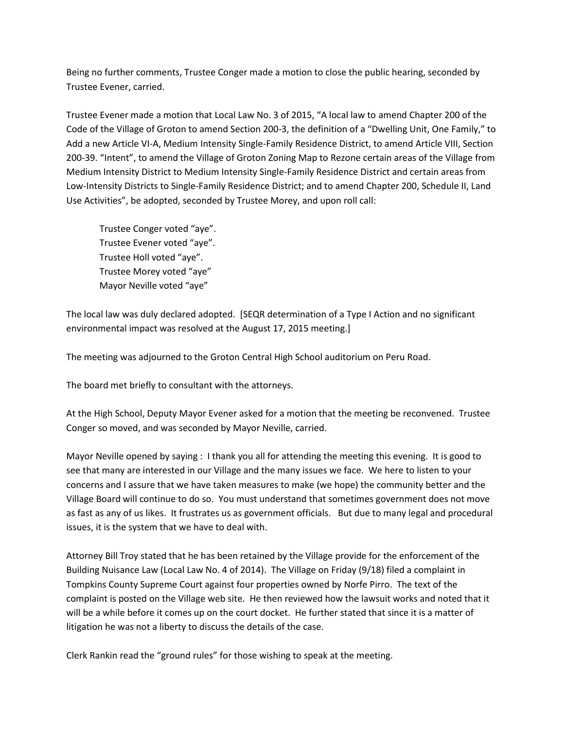Being no further comments, Trustee Conger made a motion to close the public hearing, seconded by Trustee Evener, carried.

Trustee Evener made a motion that Local Law No. 3 of 2015, "A local law to amend Chapter 200 of the Code of the Village of Groton to amend Section 200-3, the definition of a "Dwelling Unit, One Family," to Add a new Article VI-A, Medium Intensity Single-Family Residence District, to amend Article VIII, Section 200-39. "Intent", to amend the Village of Groton Zoning Map to Rezone certain areas of the Village from Medium Intensity District to Medium Intensity Single-Family Residence District and certain areas from Low-Intensity Districts to Single-Family Residence District; and to amend Chapter 200, Schedule II, Land Use Activities", be adopted, seconded by Trustee Morey, and upon roll call:

Trustee Conger voted "aye". Trustee Evener voted "aye". Trustee Holl voted "aye". Trustee Morey voted "aye" Mayor Neville voted "aye"

The local law was duly declared adopted. [SEQR determination of a Type I Action and no significant environmental impact was resolved at the August 17, 2015 meeting.]

The meeting was adjourned to the Groton Central High School auditorium on Peru Road.

The board met briefly to consultant with the attorneys.

At the High School, Deputy Mayor Evener asked for a motion that the meeting be reconvened. Trustee Conger so moved, and was seconded by Mayor Neville, carried.

Mayor Neville opened by saying : I thank you all for attending the meeting this evening. It is good to see that many are interested in our Village and the many issues we face. We here to listen to your concerns and I assure that we have taken measures to make (we hope) the community better and the Village Board will continue to do so. You must understand that sometimes government does not move as fast as any of us likes. It frustrates us as government officials. But due to many legal and procedural issues, it is the system that we have to deal with.

Attorney Bill Troy stated that he has been retained by the Village provide for the enforcement of the Building Nuisance Law (Local Law No. 4 of 2014). The Village on Friday (9/18) filed a complaint in Tompkins County Supreme Court against four properties owned by Norfe Pirro. The text of the complaint is posted on the Village web site. He then reviewed how the lawsuit works and noted that it will be a while before it comes up on the court docket. He further stated that since it is a matter of litigation he was not a liberty to discuss the details of the case.

Clerk Rankin read the "ground rules" for those wishing to speak at the meeting.